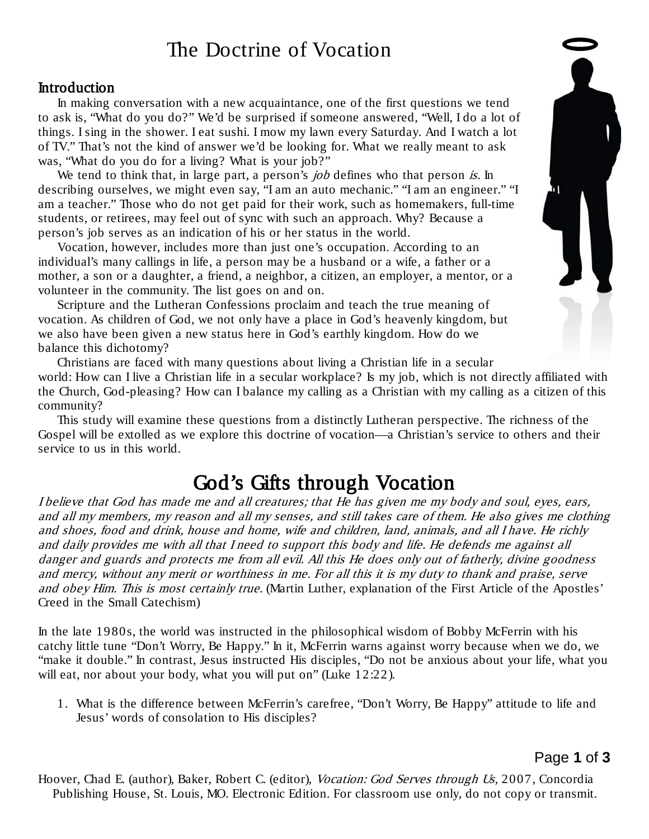# The Doctrine of Vocation

#### Introduction

In making conversation with a new acquaintance, one of the first questions we tend to ask is, "What do you do?" We'd be surprised if someone answered, "Well, I do a lot of things. I sing in the shower. I eat sushi. I mow my lawn every Saturday. And I watch a lot of TV." That's not the kind of answer we'd be looking for. What we really meant to ask was, "What do you do for a living? What is your job?"

We tend to think that, in large part, a person's  $job$  defines who that person is. In describing ourselves, we might even say, "I am an auto mechanic." "I am an engineer." "I am a teacher." Those who do not get paid for their work, such as homemakers, full-time students, or retirees, may feel out of sync with such an approach. Why? Because a person's job serves as an indication of his or her status in the world.

Vocation, however, includes more than just one's occupation. According to an individual's many callings in life, a person may be a husband or a wife, a father or a mother, a son or a daughter, a friend, a neighbor, a citizen, an employer, a mentor, or a volunteer in the community. The list goes on and on.

Scripture and the Lutheran Confessions proclaim and teach the true meaning of vocation. As children of God, we not only have a place in God's heavenly kingdom, but we also have been given a new status here in God's earthly kingdom. How do we balance this dichotomy?

Christians are faced with many questions about living a Christian life in a secular world: How can I live a Christian life in a secular workplace? Is my job, which is not directly affiliated with the Church, God-pleasing? How can I balance my calling as a Christian with my calling as a citizen of this community?

This study will examine these questions from a distinctly Lutheran perspective. The richness of the Gospel will be extolled as we explore this doctrine of vocation—a Christian's service to others and their service to us in this world.

# God's Gifts through Vocation

I believe that God has made me and all creatures; that He has given me my body and soul, eyes, ears, and all my members, my reason and all my senses, and still takes care of them. He also gives me clothing and shoes, food and drink, house and home, wife and children, land, animals, and all I have. He richly and daily provides me with all that I need to support this body and life. He defends me against all danger and guards and protects me from all evil. All this He does only out of fatherly, divine goodness and mercy, without any merit or worthiness in me. For all this it is my duty to thank and praise, serve and obey Him. This is most certainly true. (Martin Luther, explanation of the First Article of the Apostles' Creed in the Small Catechism)

In the late 1980s, the world was instructed in the philosophical wisdom of Bobby McFerrin with his catchy little tune "Don't Worry, Be Happy." In it, McFerrin warns against worry because when we do, we "make it double." In contrast, Jesus instructed His disciples, "Do not be anxious about your life, what you will eat, nor about your body, what you will put on" (Luke 12:22).

1. What is the difference between McFerrin's carefree, "Don't Worry, Be Happy" attitude to life and Jesus' words of consolation to His disciples?

Page **1** of **3**

Hoover, Chad E. (author), Baker, Robert C. (editor), Vocation: God Serves through Us, 2007, Concordia Publishing House, St. Louis, MO. Electronic Edition. For classroom use only, do not copy or transmit.

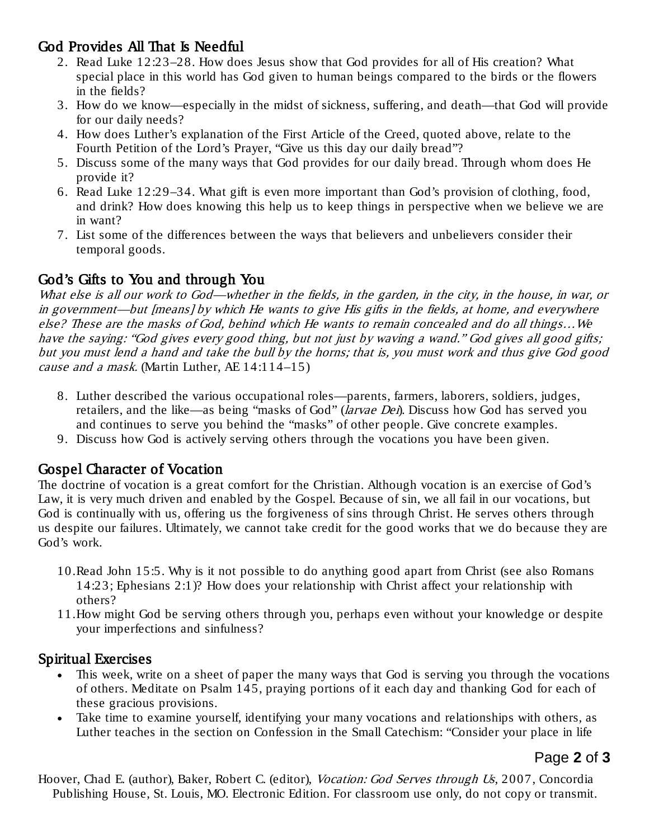# God Provides All That Is Needful

- 2. Read Luke 12:23–28. How does Jesus show that God provides for all of His creation? What special place in this world has God given to human beings compared to the birds or the flowers in the fields?
- 3. How do we know—especially in the midst of sickness, suffering, and death—that God will provide for our daily needs?
- 4. How does Luther's explanation of the First Article of the Creed, quoted above, relate to the Fourth Petition of the Lord's Prayer, "Give us this day our daily bread"?
- 5. Discuss some of the many ways that God provides for our daily bread. Through whom does He provide it?
- 6. Read Luke 12:29–34. What gift is even more important than God's provision of clothing, food, and drink? How does knowing this help us to keep things in perspective when we believe we are in want?
- 7. List some of the differences between the ways that believers and unbelievers consider their temporal goods.

### God's Gifts to You and through You

What else is all our work to God—whether in the fields, in the garden, in the city, in the house, in war, or in government—but [means] by which He wants to give His gifts in the fields, at home, and everywhere else? These are the masks of God, behind which He wants to remain concealed and do all things…We have the saying: "God gives every good thing, but not just by waving a wand." God gives all good gifts; but you must lend a hand and take the bull by the horns; that is, you must work and thus give God good cause and a mask. (Martin Luther, AE  $14:114-15$ )

- 8. Luther described the various occupational roles—parents, farmers, laborers, soldiers, judges, retailers, and the like—as being "masks of God" (larvae Dei). Discuss how God has served you and continues to serve you behind the "masks" of other people. Give concrete examples.
- 9. Discuss how God is actively serving others through the vocations you have been given.

## Gospel Character of Vocation

The doctrine of vocation is a great comfort for the Christian. Although vocation is an exercise of God's Law, it is very much driven and enabled by the Gospel. Because of sin, we all fail in our vocations, but God is continually with us, offering us the forgiveness of sins through Christ. He serves others through us despite our failures. Ultimately, we cannot take credit for the good works that we do because they are God's work.

- 10.Read John 15:5. Why is it not possible to do anything good apart from Christ (see also Romans 14:23; Ephesians 2:1)? How does your relationship with Christ affect your relationship with others?
- 11.How might God be serving others through you, perhaps even without your knowledge or despite your imperfections and sinfulness?

### Spiritual Exercises

- This week, write on a sheet of paper the many ways that God is serving you through the vocations of others. Meditate on Psalm 145, praying portions of it each day and thanking God for each of these gracious provisions.
- Take time to examine yourself, identifying your many vocations and relationships with others, as Luther teaches in the section on Confession in the Small Catechism: "Consider your place in life

## Page **2** of **3**

Hoover, Chad E. (author), Baker, Robert C. (editor), Vocation: God Serves through Us, 2007, Concordia Publishing House, St. Louis, MO. Electronic Edition. For classroom use only, do not copy or transmit.